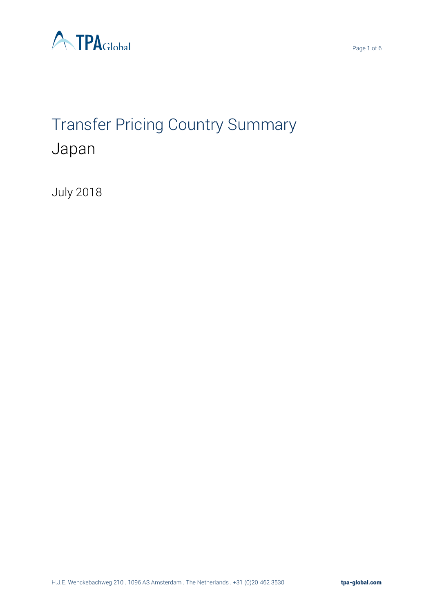

# Transfer Pricing Country Summary Japan

July 2018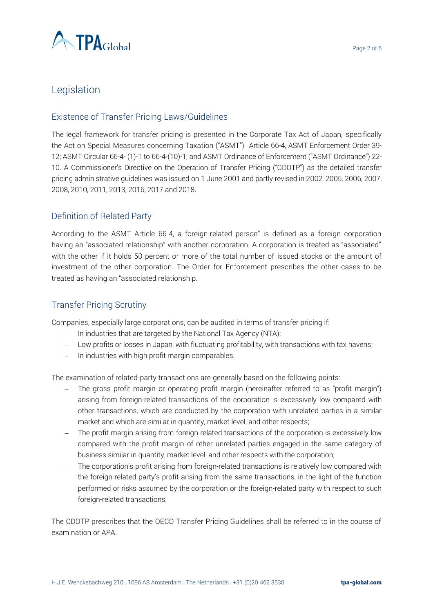

# Legislation

## Existence of Transfer Pricing Laws/Guidelines

The legal framework for transfer pricing is presented in the Corporate Tax Act of Japan, specifically the Act on Special Measures concerning Taxation ("ASMT") Article 66-4, ASMT Enforcement Order 39- 12; ASMT Circular 66-4- (1)-1 to 66-4-(10)-1; and ASMT Ordinance of Enforcement ("ASMT Ordinance") 22- 10. A Commissioner's Directive on the Operation of Transfer Pricing ("CDOTP") as the detailed transfer pricing administrative guidelines was issued on 1 June 2001 and partly revised in 2002, 2005, 2006, 2007, 2008, 2010, 2011, 2013, 2016, 2017 and 2018.

## Definition of Related Party

According to the ASMT Article 66-4, a foreign-related person" is defined as a foreign corporation having an "associated relationship" with another corporation. A corporation is treated as "associated" with the other if it holds 50 percent or more of the total number of issued stocks or the amount of investment of the other corporation. The Order for Enforcement prescribes the other cases to be treated as having an "associated relationship.

## Transfer Pricing Scrutiny

Companies, especially large corporations, can be audited in terms of transfer pricing if:

- − In industries that are targeted by the National Tax Agency (NTA);
- − Low profits or losses in Japan, with fluctuating profitability, with transactions with tax havens;
- − In industries with high profit margin comparables.

The examination of related-party transactions are generally based on the following points:

- − The gross profit margin or operating profit margin (hereinafter referred to as "profit margin") arising from foreign-related transactions of the corporation is excessively low compared with other transactions, which are conducted by the corporation with unrelated parties in a similar market and which are similar in quantity, market level, and other respects;
- − The profit margin arising from foreign-related transactions of the corporation is excessively low compared with the profit margin of other unrelated parties engaged in the same category of business similar in quantity, market level, and other respects with the corporation;
- The corporation's profit arising from foreign-related transactions is relatively low compared with the foreign-related party's profit arising from the same transactions, in the light of the function performed or risks assumed by the corporation or the foreign-related party with respect to such foreign-related transactions.

The CDOTP prescribes that the OECD Transfer Pricing Guidelines shall be referred to in the course of examination or APA.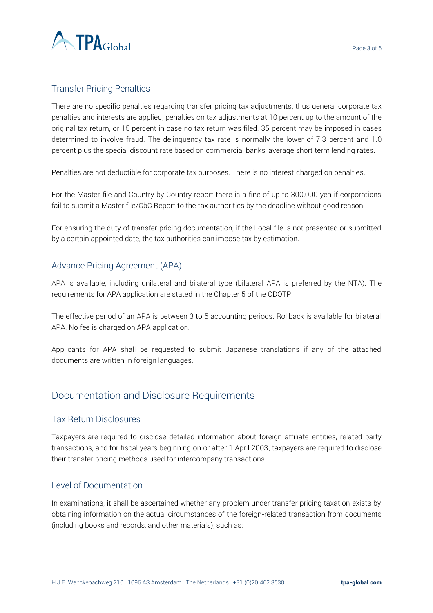

## Transfer Pricing Penalties

There are no specific penalties regarding transfer pricing tax adjustments, thus general corporate tax penalties and interests are applied; penalties on tax adjustments at 10 percent up to the amount of the original tax return, or 15 percent in case no tax return was filed. 35 percent may be imposed in cases determined to involve fraud. The delinquency tax rate is normally the lower of 7.3 percent and 1.0 percent plus the special discount rate based on commercial banks' average short term lending rates.

Penalties are not deductible for corporate tax purposes. There is no interest charged on penalties.

For the Master file and Country-by-Country report there is a fine of up to 300,000 yen if corporations fail to submit a Master file/CbC Report to the tax authorities by the deadline without good reason

For ensuring the duty of transfer pricing documentation, if the Local file is not presented or submitted by a certain appointed date, the tax authorities can impose tax by estimation.

## Advance Pricing Agreement (APA)

APA is available, including unilateral and bilateral type (bilateral APA is preferred by the NTA). The requirements for APA application are stated in the Chapter 5 of the CDOTP.

The effective period of an APA is between 3 to 5 accounting periods. Rollback is available for bilateral APA. No fee is charged on APA application.

Applicants for APA shall be requested to submit Japanese translations if any of the attached documents are written in foreign languages.

# Documentation and Disclosure Requirements

## Tax Return Disclosures

Taxpayers are required to disclose detailed information about foreign affiliate entities, related party transactions, and for fiscal years beginning on or after 1 April 2003, taxpayers are required to disclose their transfer pricing methods used for intercompany transactions.

#### Level of Documentation

In examinations, it shall be ascertained whether any problem under transfer pricing taxation exists by obtaining information on the actual circumstances of the foreign-related transaction from documents (including books and records, and other materials), such as: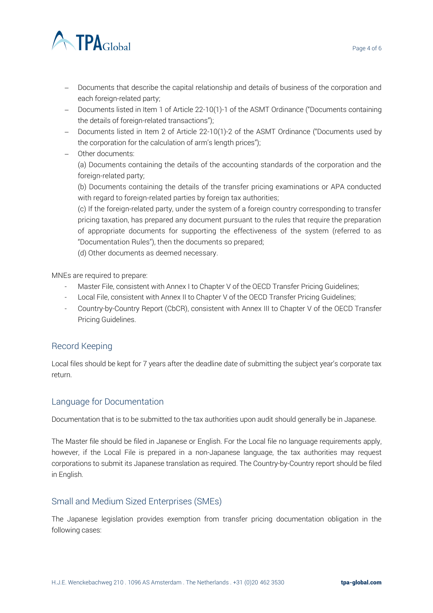

- − Documents that describe the capital relationship and details of business of the corporation and each foreign-related party;
- − Documents listed in Item 1 of Article 22-10(1)-1 of the ASMT Ordinance ("Documents containing the details of foreign-related transactions");
- − Documents listed in Item 2 of Article 22-10(1)-2 of the ASMT Ordinance ("Documents used by the corporation for the calculation of arm's length prices");
- − Other documents:

(a) Documents containing the details of the accounting standards of the corporation and the foreign-related party;

(b) Documents containing the details of the transfer pricing examinations or APA conducted with regard to foreign-related parties by foreign tax authorities;

(c) If the foreign-related party, under the system of a foreign country corresponding to transfer pricing taxation, has prepared any document pursuant to the rules that require the preparation of appropriate documents for supporting the effectiveness of the system (referred to as "Documentation Rules"), then the documents so prepared;

(d) Other documents as deemed necessary.

MNEs are required to prepare:

- Master File, consistent with Annex I to Chapter V of the OECD Transfer Pricing Guidelines;
- Local File, consistent with Annex II to Chapter V of the OECD Transfer Pricing Guidelines;
- Country-by-Country Report (CbCR), consistent with Annex III to Chapter V of the OECD Transfer Pricing Guidelines.

## Record Keeping

Local files should be kept for 7 years after the deadline date of submitting the subject year's corporate tax return.

#### Language for Documentation

Documentation that is to be submitted to the tax authorities upon audit should generally be in Japanese.

The Master file should be filed in Japanese or English. For the Local file no language requirements apply, however, if the Local File is prepared in a non-Japanese language, the tax authorities may request corporations to submit its Japanese translation as required. The Country-by-Country report should be filed in English.

## Small and Medium Sized Enterprises (SMEs)

The Japanese legislation provides exemption from transfer pricing documentation obligation in the following cases: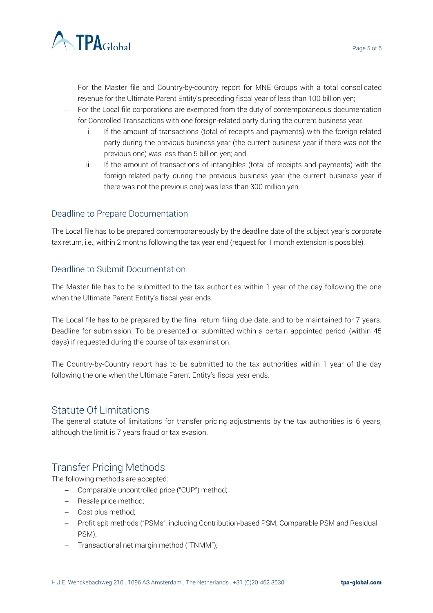

- − For the Master file and Country-by-country report for MNE Groups with a total consolidated revenue for the Ultimate Parent Entity's preceding fiscal year of less than 100 billion yen;
- − For the Local file corporations are exempted from the duty of contemporaneous documentation for Controlled Transactions with one foreign-related party during the current business year.
	- i. If the amount of transactions (total of receipts and payments) with the foreign related party during the previous business year (the current business year if there was not the previous one) was less than 5 billion yen; and
	- ii. If the amount of transactions of intangibles (total of receipts and payments) with the foreign-related party during the previous business year (the current business year if there was not the previous one) was less than 300 million yen.

## Deadline to Prepare Documentation

The Local file has to be prepared contemporaneously by the deadline date of the subject year's corporate tax return, i.e., within 2 months following the tax year end (request for 1 month extension is possible).

## Deadline to Submit Documentation

The Master file has to be submitted to the tax authorities within 1 year of the day following the one when the Ultimate Parent Entity's fiscal year ends.

The Local file has to be prepared by the final return filing due date, and to be maintained for 7 years. Deadline for submission: To be presented or submitted within a certain appointed period (within 45 days) if requested during the course of tax examination.

The Country-by-Country report has to be submitted to the tax authorities within 1 year of the day following the one when the Ultimate Parent Entity's fiscal year ends.

## Statute Of Limitations

The general statute of limitations for transfer pricing adjustments by the tax authorities is 6 years, although the limit is 7 years fraud or tax evasion.

# Transfer Pricing Methods

The following methods are accepted:

- − Comparable uncontrolled price ("CUP") method;
- − Resale price method;
- − Cost plus method;
- − Profit spit methods ("PSMs", including Contribution-based PSM, Comparable PSM and Residual PSM);
- − Transactional net margin method ("TNMM");